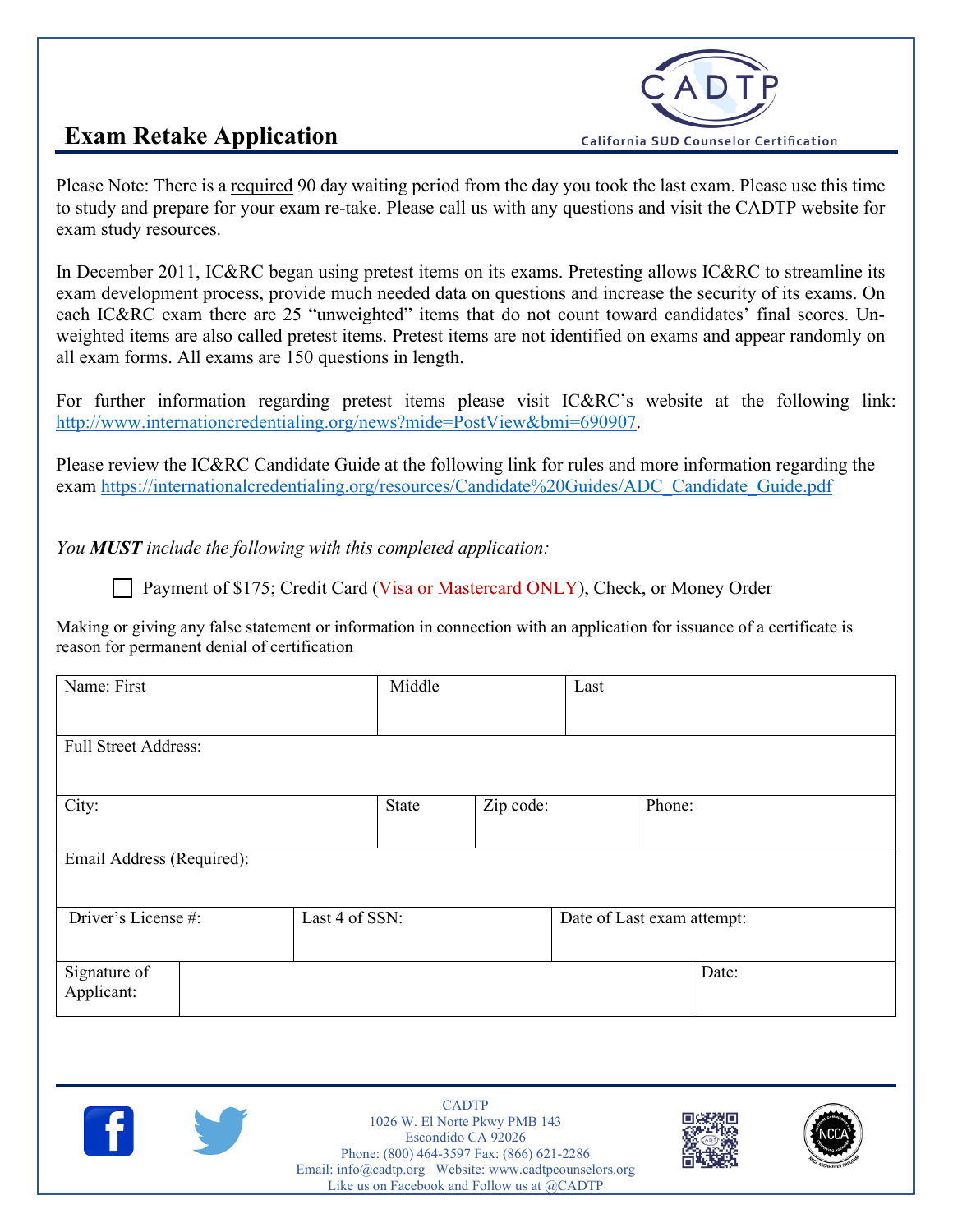

## **Exam Retake Application**

Please Note: There is a required 90 day waiting period from the day you took the last exam. Please use this time to study and prepare for your exam re-take. Please call us with any questions and visit the CADTP website for exam study resources.

In December 2011, IC&RC began using pretest items on its exams. Pretesting allows IC&RC to streamline its exam development process, provide much needed data on questions and increase the security of its exams. On each IC&RC exam there are 25 "unweighted" items that do not count toward candidates' final scores. Unweighted items are also called pretest items. Pretest items are not identified on exams and appear randomly on all exam forms. All exams are 150 questions in length.

For further information regarding pretest items please visit IC&RC's website at the following link: [http://www.internationcredentialing.org/news?mide=PostView&bmi=690907.](http://www.internationcredentialing.org/news?mide=PostView&bmi=690907)

Please review the IC&RC Candidate Guide at the following link for rules and more information regarding the exam [https://internationalcredentialing.org/resources/Candidate%20Guides/ADC\\_Candidate\\_Guide.pdf](https://internationalcredentialing.org/resources/Candidate%20Guides/ADC_Candidate_Guide.pdf)

*You MUST include the following with this completed application:*

Payment of \$175; Credit Card (Visa or Mastercard ONLY), Check, or Money Order

Making or giving any false statement or information in connection with an application for issuance of a certificate is reason for permanent denial of certification

| Name: First                 | Middle         | Last      |                            |  |
|-----------------------------|----------------|-----------|----------------------------|--|
| <b>Full Street Address:</b> |                |           |                            |  |
| City:                       | State          | Zip code: | Phone:                     |  |
| Email Address (Required):   |                |           |                            |  |
| Driver's License #:         | Last 4 of SSN: |           | Date of Last exam attempt: |  |
| Signature of<br>Applicant:  |                |           | Date:                      |  |



CADTP 1026 W. El Norte Pkwy PMB 143 Escondido CA 92026 Phone: (800) 464-3597 Fax: (866) 621-2286 Email[: info@cadtp.org](mailto:info@cadtp.org) Website: [www.cadtpcounselors.org](http://www.cadtpcounselors.org/) Like us on Facebook and Follow us at @CADTP